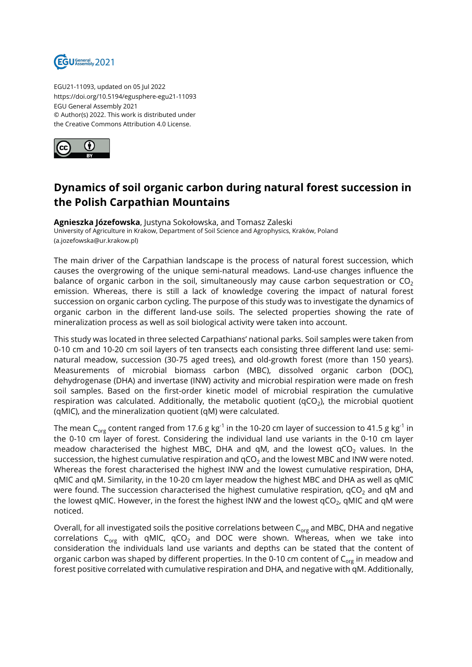

EGU21-11093, updated on 05 Jul 2022 https://doi.org/10.5194/egusphere-egu21-11093 EGU General Assembly 2021 © Author(s) 2022. This work is distributed under the Creative Commons Attribution 4.0 License.



## **Dynamics of soil organic carbon during natural forest succession in the Polish Carpathian Mountains**

**Agnieszka Józefowska**, Justyna Sokołowska, and Tomasz Zaleski University of Agriculture in Krakow, Department of Soil Science and Agrophysics, Kraków, Poland (a.jozefowska@ur.krakow.pl)

The main driver of the Carpathian landscape is the process of natural forest succession, which causes the overgrowing of the unique semi-natural meadows. Land-use changes influence the balance of organic carbon in the soil, simultaneously may cause carbon sequestration or  $CO<sub>2</sub>$ emission. Whereas, there is still a lack of knowledge covering the impact of natural forest succession on organic carbon cycling. The purpose of this study was to investigate the dynamics of organic carbon in the different land-use soils. The selected properties showing the rate of mineralization process as well as soil biological activity were taken into account.

This study was located in three selected Carpathians' national parks. Soil samples were taken from 0-10 cm and 10-20 cm soil layers of ten transects each consisting three different land use: seminatural meadow, succession (30-75 aged trees), and old-growth forest (more than 150 years). Measurements of microbial biomass carbon (MBC), dissolved organic carbon (DOC), dehydrogenase (DHA) and invertase (INW) activity and microbial respiration were made on fresh soil samples. Based on the first-order kinetic model of microbial respiration the cumulative respiration was calculated. Additionally, the metabolic quotient (qCO<sub>2</sub>), the microbial quotient (qMIC), and the mineralization quotient (qM) were calculated.

The mean C<sub>org</sub> content ranged from 17.6 g kg<sup>-1</sup> in the 10-20 cm layer of succession to 41.5 g kg<sup>-1</sup> in the 0-10 cm layer of forest. Considering the individual land use variants in the 0-10 cm layer meadow characterised the highest MBC, DHA and qM, and the lowest  $qCO<sub>2</sub>$  values. In the succession, the highest cumulative respiration and  $qCO<sub>2</sub>$  and the lowest MBC and INW were noted. Whereas the forest characterised the highest INW and the lowest cumulative respiration, DHA, qMIC and qM. Similarity, in the 10-20 cm layer meadow the highest MBC and DHA as well as qMIC were found. The succession characterised the highest cumulative respiration,  $qCO<sub>2</sub>$  and qM and the lowest qMIC. However, in the forest the highest INW and the lowest qCO $_{\rm 2}$ , qMIC and qM were noticed.

Overall, for all investigated soils the positive correlations between  $C_{org}$  and MBC, DHA and negative correlations  $C_{org}$  with qMIC,  $qCO_2$  and DOC were shown. Whereas, when we take into consideration the individuals land use variants and depths can be stated that the content of organic carbon was shaped by different properties. In the 0-10 cm content of  $C_{\text{ore}}$  in meadow and forest positive correlated with cumulative respiration and DHA, and negative with qM. Additionally,